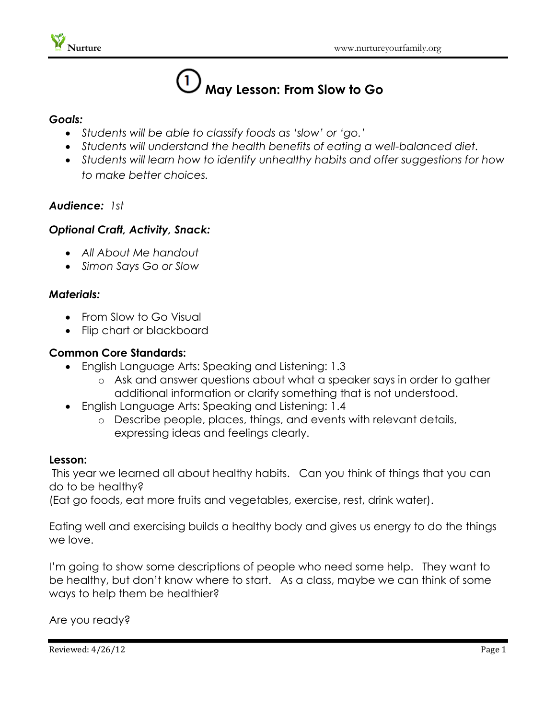# **May Lesson: From Slow to Go**

#### *Goals:*

- *Students will be able to classify foods as 'slow' or 'go.'*
- *Students will understand the health benefits of eating a well-balanced diet.*
- *Students will learn how to identify unhealthy habits and offer suggestions for how to make better choices.*

# *Audience: 1st*

# *Optional Craft, Activity, Snack:*

- *All About Me handout*
- *Simon Says Go or Slow*

# *Materials:*

- From Slow to Go Visual
- Flip chart or blackboard

#### **Common Core Standards:**

- English Language Arts: Speaking and Listening: 1.3
	- o Ask and answer questions about what a speaker says in order to gather additional information or clarify something that is not understood.
- English Language Arts: Speaking and Listening: 1.4
	- o Describe people, places, things, and events with relevant details, expressing ideas and feelings clearly.

#### **Lesson:**

This year we learned all about healthy habits. Can you think of things that you can do to be healthy?

(Eat go foods, eat more fruits and vegetables, exercise, rest, drink water).

Eating well and exercising builds a healthy body and gives us energy to do the things we love.

I'm going to show some descriptions of people who need some help. They want to be healthy, but don't know where to start. As a class, maybe we can think of some ways to help them be healthier?

Are you ready?